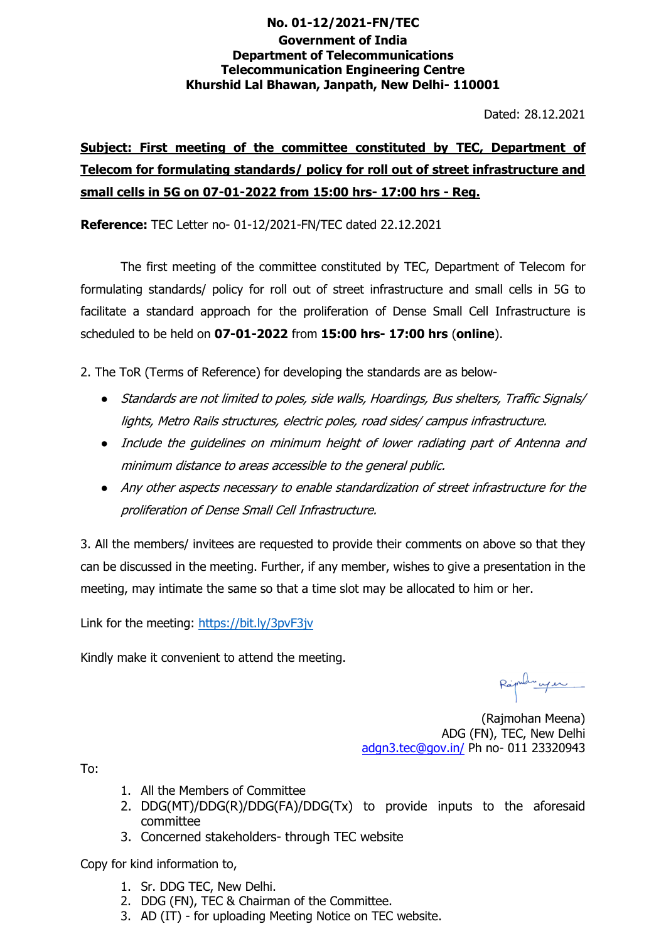## **No. 01-12/2021-FN/TEC Government of India Department of Telecommunications Telecommunication Engineering Centre Khurshid Lal Bhawan, Janpath, New Delhi- 110001**

Dated: 28.12.2021

## **Subject: First meeting of the committee constituted by TEC, Department of Telecom for formulating standards/ policy for roll out of street infrastructure and small cells in 5G on 07-01-2022 from 15:00 hrs- 17:00 hrs - Reg.**

**Reference:** TEC Letter no- 01-12/2021-FN/TEC dated 22.12.2021

The first meeting of the committee constituted by TEC, Department of Telecom for formulating standards/ policy for roll out of street infrastructure and small cells in 5G to facilitate a standard approach for the proliferation of Dense Small Cell Infrastructure is scheduled to be held on **07-01-2022** from **15:00 hrs- 17:00 hrs** (**online**).

2. The ToR (Terms of Reference) for developing the standards are as below-

- Standards are not limited to poles, side walls, Hoardings, Bus shelters, Traffic Signals/ lights, Metro Rails structures, electric poles, road sides/ campus infrastructure.
- Include the guidelines on minimum height of lower radiating part of Antenna and minimum distance to areas accessible to the general public.
- Any other aspects necessary to enable standardization of street infrastructure for the proliferation of Dense Small Cell Infrastructure.

3. All the members/ invitees are requested to provide their comments on above so that they can be discussed in the meeting. Further, if any member, wishes to give a presentation in the meeting, may intimate the same so that a time slot may be allocated to him or her.

[Link](https://teams.microsoft.com/l/meetup-join/19%3ameeting_MjFiNjQyYjgtMGMyZi00NWE5LTlkYTEtMGRlODc1ODM0ZWRl%40thread.v2/0?context=%7b%22Tid%22%3a%2220b53086-9029-4832-b7e0-f787682e5df3%22%2c%22Oid%22%3a%2298d26ba9-c159-4291-8e4f-2e2e512cdbb4%22%7d) for the meeting:<https://bit.ly/3pvF3jv>

Kindly make it convenient to attend the meeting.

when you.

(Rajmohan Meena) ADG (FN), TEC, New Delhi [adgn3.tec@gov.in/](mailto:adgn3.tec@gov.in/) Ph no- 011 23320943

To:

- 1. All the Members of Committee
- 2. DDG(MT)/DDG(R)/DDG(FA)/DDG(Tx) to provide inputs to the aforesaid committee
- 3. Concerned stakeholders- through TEC website

Copy for kind information to,

- 1. Sr. DDG TEC, New Delhi.
- 2. DDG (FN), TEC & Chairman of the Committee.
- 3. AD (IT) for uploading Meeting Notice on TEC website.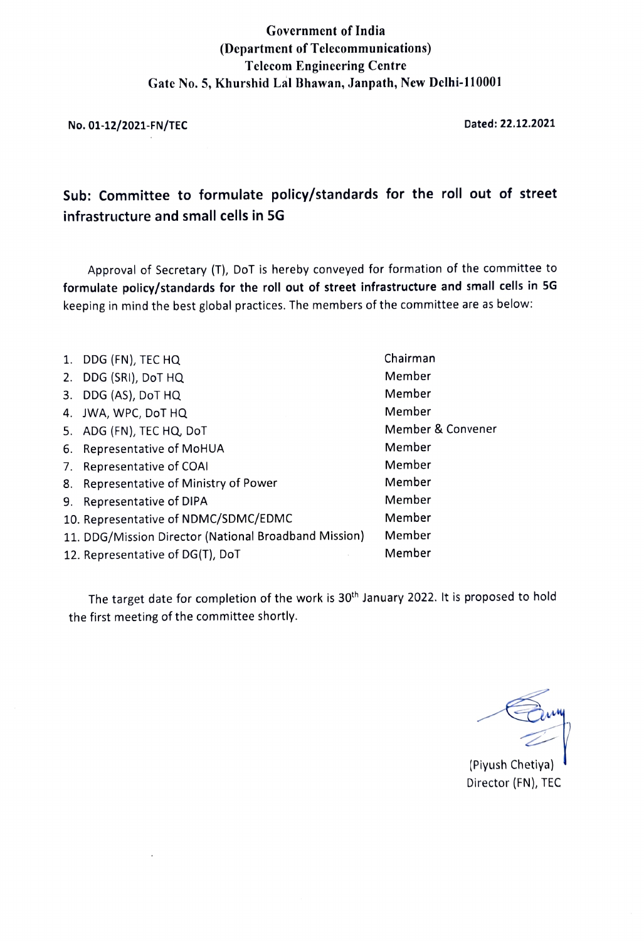## Government of India (Department of Telecommunications) **Telecom Engineering Centre** Gate No. 5, Khurshid Lal Bhawan, Janpath, New Delhi-110001

No. 01-12/2021-FN/TEC Dated: 22.12.2021

## Sub: Committee to formulate policy/standards for the roll out of street infrastructure and small cells in 5G

Approval of Secretary (T), DOT is hereby conveyed for formation of the committee to formulate policy/standards for the roll out of street infrastructure and small cells in 5G keeping in mind the best global practices. The members of the committee are as below:

|    | 1. DDG (FN), TEC HQ                                   | Chairman          |
|----|-------------------------------------------------------|-------------------|
| 2. | DDG (SRI), DoT HQ                                     | Member            |
| 3. | DDG (AS), DoT HQ                                      | Member            |
|    | 4. JWA, WPC, DoT HQ                                   | Member            |
|    | 5. ADG (FN), TEC HQ, DoT                              | Member & Convener |
| 6. | Representative of MoHUA                               | Member            |
| 7. | Representative of COAI                                | Member            |
| 8. | Representative of Ministry of Power                   | Member            |
| 9. | Representative of DIPA                                | Member            |
|    | 10. Representative of NDMC/SDMC/EDMC                  | Member            |
|    | 11. DDG/Mission Director (National Broadband Mission) | Member            |
|    | 12. Representative of DG(T), DoT                      | Member            |

The target date for completion of the work is 30<sup>th</sup> January 2022. It is proposed to hold the first meeting of the committee shortly.

(Piyush Chetiya) Director (FN), TEC